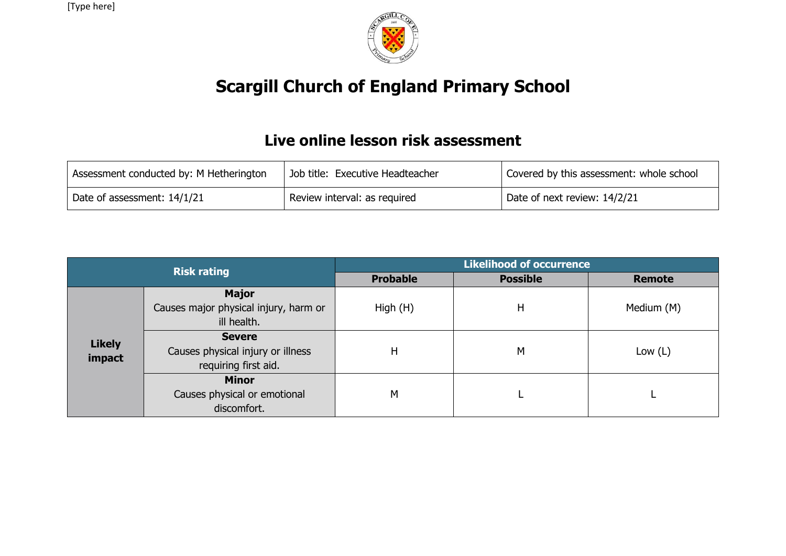[Type here]



## **Scargill Church of England Primary School**

## **Live online lesson risk assessment**

| Assessment conducted by: M Hetherington | Job title: Executive Headteacher | Covered by this assessment: whole school |  |  |
|-----------------------------------------|----------------------------------|------------------------------------------|--|--|
| Date of assessment: 14/1/21             | Review interval: as required     | Date of next review: 14/2/21             |  |  |

|                         | <b>Risk rating</b>                                                         | <b>Likelihood of occurrence</b> |                 |               |  |  |  |  |
|-------------------------|----------------------------------------------------------------------------|---------------------------------|-----------------|---------------|--|--|--|--|
|                         |                                                                            | <b>Probable</b>                 | <b>Possible</b> | <b>Remote</b> |  |  |  |  |
|                         | <b>Major</b><br>Causes major physical injury, harm or<br>ill health.       | High (H)                        | Η               | Medium (M)    |  |  |  |  |
| <b>Likely</b><br>impact | <b>Severe</b><br>Causes physical injury or illness<br>requiring first aid. | H                               | M               | Low $(L)$     |  |  |  |  |
|                         | <b>Minor</b><br>Causes physical or emotional<br>discomfort.                | M                               |                 |               |  |  |  |  |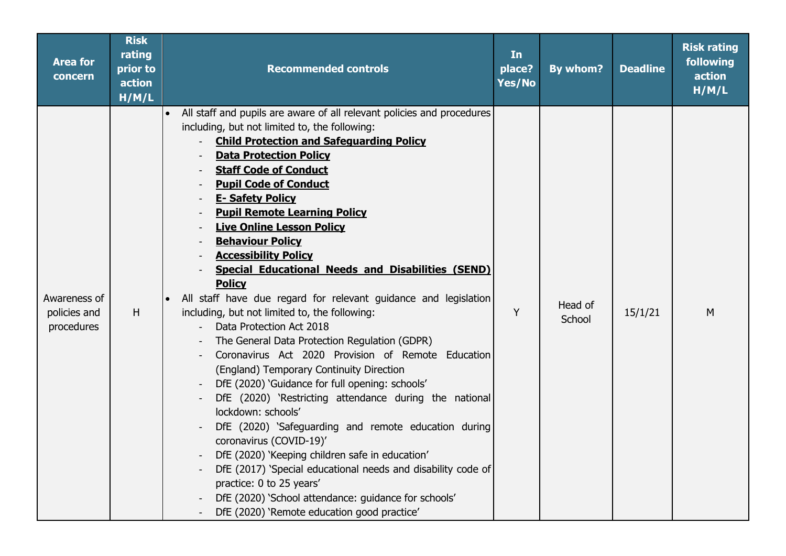| <b>Area for</b><br>concern                 | <b>Risk</b><br>rating<br>prior to<br>action<br>H/M/L | <b>Recommended controls</b>                                                                                                                                                                                                                                                                                                                                                                                                                                                                                                                                                                                                                                                                                                                                                                                                                                                                                                                                                                                                                                                                                                                                                                                                                                                                               | In<br>place?<br>Yes/No | By whom?          | <b>Deadline</b> | <b>Risk rating</b><br>following<br>action<br>H/M/L |
|--------------------------------------------|------------------------------------------------------|-----------------------------------------------------------------------------------------------------------------------------------------------------------------------------------------------------------------------------------------------------------------------------------------------------------------------------------------------------------------------------------------------------------------------------------------------------------------------------------------------------------------------------------------------------------------------------------------------------------------------------------------------------------------------------------------------------------------------------------------------------------------------------------------------------------------------------------------------------------------------------------------------------------------------------------------------------------------------------------------------------------------------------------------------------------------------------------------------------------------------------------------------------------------------------------------------------------------------------------------------------------------------------------------------------------|------------------------|-------------------|-----------------|----------------------------------------------------|
| Awareness of<br>policies and<br>procedures | H                                                    | • All staff and pupils are aware of all relevant policies and procedures<br>including, but not limited to, the following:<br><b>Child Protection and Safeguarding Policy</b><br><b>Data Protection Policy</b><br><b>Staff Code of Conduct</b><br><b>Pupil Code of Conduct</b><br><b>E- Safety Policy</b><br><b>Pupil Remote Learning Policy</b><br><b>Live Online Lesson Policy</b><br><b>Behaviour Policy</b><br><b>Accessibility Policy</b><br><b>Special Educational Needs and Disabilities (SEND)</b><br><b>Policy</b><br>All staff have due regard for relevant guidance and legislation<br>including, but not limited to, the following:<br>Data Protection Act 2018<br>The General Data Protection Regulation (GDPR)<br>Coronavirus Act 2020 Provision of Remote Education<br>(England) Temporary Continuity Direction<br>DfE (2020) 'Guidance for full opening: schools'<br>DfE (2020) 'Restricting attendance during the national<br>lockdown: schools'<br>DfE (2020) 'Safeguarding and remote education during<br>coronavirus (COVID-19)'<br>DfE (2020) 'Keeping children safe in education'<br>DfE (2017) 'Special educational needs and disability code of<br>practice: 0 to 25 years'<br>DfE (2020) 'School attendance: guidance for schools'<br>DfE (2020) 'Remote education good practice' | Y                      | Head of<br>School | 15/1/21         | M                                                  |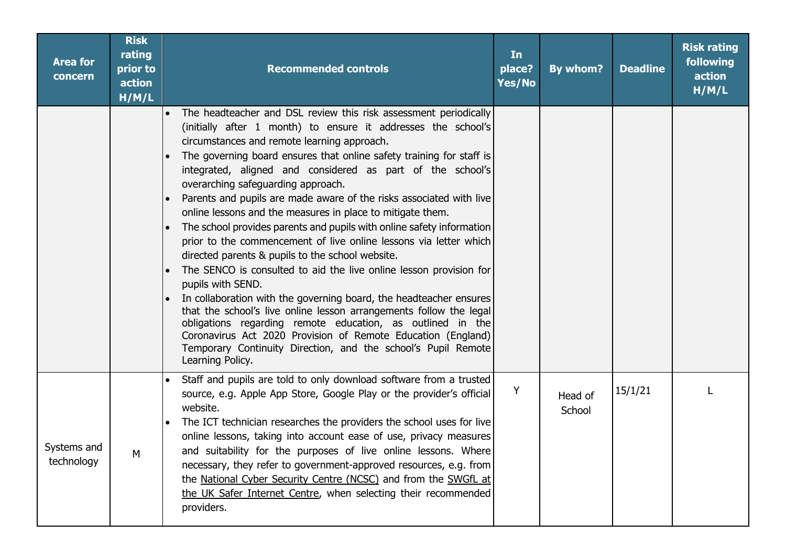| <b>Area for</b><br>concern | <b>Risk</b><br>rating<br>prior to<br>action<br>H/M/L | <b>Recommended controls</b>                                                                                                                                                                                                                                                                                                                                                                                                                                                                                                                                                                                                                                                                                                                                                                                                                                                                                                                                                                                                                                                                                                                                     | In<br>place?<br>Yes/No | By whom?          | <b>Deadline</b> | <b>Risk rating</b><br>following<br>action<br>H/M/L |
|----------------------------|------------------------------------------------------|-----------------------------------------------------------------------------------------------------------------------------------------------------------------------------------------------------------------------------------------------------------------------------------------------------------------------------------------------------------------------------------------------------------------------------------------------------------------------------------------------------------------------------------------------------------------------------------------------------------------------------------------------------------------------------------------------------------------------------------------------------------------------------------------------------------------------------------------------------------------------------------------------------------------------------------------------------------------------------------------------------------------------------------------------------------------------------------------------------------------------------------------------------------------|------------------------|-------------------|-----------------|----------------------------------------------------|
|                            |                                                      | • The headteacher and DSL review this risk assessment periodically<br>(initially after 1 month) to ensure it addresses the school's<br>circumstances and remote learning approach.<br>The governing board ensures that online safety training for staff is<br>integrated, aligned and considered as part of the school's<br>overarching safeguarding approach.<br>Parents and pupils are made aware of the risks associated with live<br>online lessons and the measures in place to mitigate them.<br>The school provides parents and pupils with online safety information<br>prior to the commencement of live online lessons via letter which<br>directed parents & pupils to the school website.<br>The SENCO is consulted to aid the live online lesson provision for<br>pupils with SEND.<br>In collaboration with the governing board, the headteacher ensures<br>that the school's live online lesson arrangements follow the legal<br>obligations regarding remote education, as outlined in the<br>Coronavirus Act 2020 Provision of Remote Education (England)<br>Temporary Continuity Direction, and the school's Pupil Remote<br>Learning Policy. |                        |                   |                 |                                                    |
| Systems and<br>technology  | M                                                    | Staff and pupils are told to only download software from a trusted<br>source, e.g. Apple App Store, Google Play or the provider's official<br>website.<br>The ICT technician researches the providers the school uses for live<br>online lessons, taking into account ease of use, privacy measures<br>and suitability for the purposes of live online lessons. Where<br>necessary, they refer to government-approved resources, e.g. from<br>the National Cyber Security Centre (NCSC) and from the SWGfL at<br>the UK Safer Internet Centre, when selecting their recommended<br>providers.                                                                                                                                                                                                                                                                                                                                                                                                                                                                                                                                                                   | Y                      | Head of<br>School | 15/1/21         |                                                    |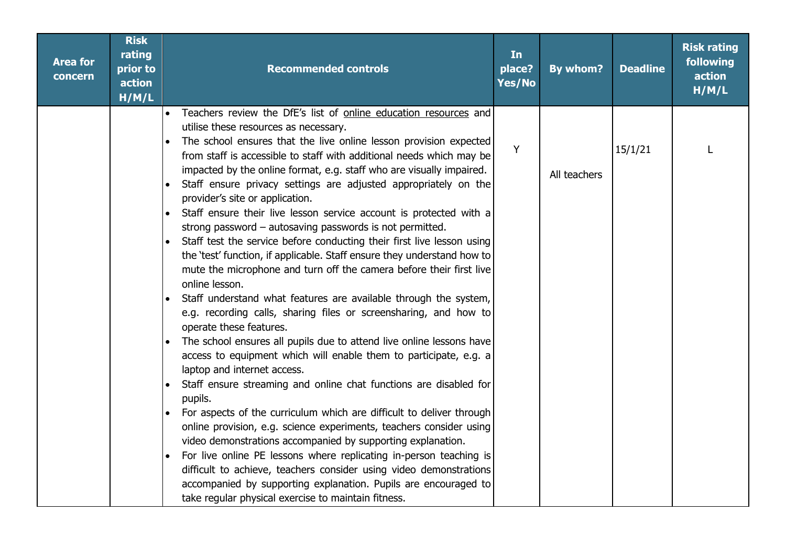| <b>Area for</b><br>concern | <b>Risk</b><br>rating<br>prior to<br>action<br>H/M/L | <b>Recommended controls</b>                                                                                                                                                                                                                                                                                                                                                                                                                      | In<br>place?<br>Yes/No | By whom?     | <b>Deadline</b> | <b>Risk rating</b><br>following<br>action<br>H/M/L |
|----------------------------|------------------------------------------------------|--------------------------------------------------------------------------------------------------------------------------------------------------------------------------------------------------------------------------------------------------------------------------------------------------------------------------------------------------------------------------------------------------------------------------------------------------|------------------------|--------------|-----------------|----------------------------------------------------|
|                            |                                                      | Teachers review the DfE's list of online education resources and<br>utilise these resources as necessary.<br>The school ensures that the live online lesson provision expected<br>from staff is accessible to staff with additional needs which may be<br>impacted by the online format, e.g. staff who are visually impaired.<br>Staff ensure privacy settings are adjusted appropriately on the<br>provider's site or application.             | Y                      | All teachers | 15/1/21         | L                                                  |
|                            |                                                      | Staff ensure their live lesson service account is protected with a<br>strong password - autosaving passwords is not permitted.<br>Staff test the service before conducting their first live lesson using<br>the 'test' function, if applicable. Staff ensure they understand how to<br>mute the microphone and turn off the camera before their first live<br>online lesson.<br>Staff understand what features are available through the system, |                        |              |                 |                                                    |
|                            |                                                      | e.g. recording calls, sharing files or screensharing, and how to<br>operate these features.<br>The school ensures all pupils due to attend live online lessons have<br>access to equipment which will enable them to participate, e.g. a<br>laptop and internet access.                                                                                                                                                                          |                        |              |                 |                                                    |
|                            |                                                      | Staff ensure streaming and online chat functions are disabled for<br>pupils.<br>For aspects of the curriculum which are difficult to deliver through<br>online provision, e.g. science experiments, teachers consider using<br>video demonstrations accompanied by supporting explanation.                                                                                                                                                       |                        |              |                 |                                                    |
|                            |                                                      | For live online PE lessons where replicating in-person teaching is<br>difficult to achieve, teachers consider using video demonstrations<br>accompanied by supporting explanation. Pupils are encouraged to<br>take regular physical exercise to maintain fitness.                                                                                                                                                                               |                        |              |                 |                                                    |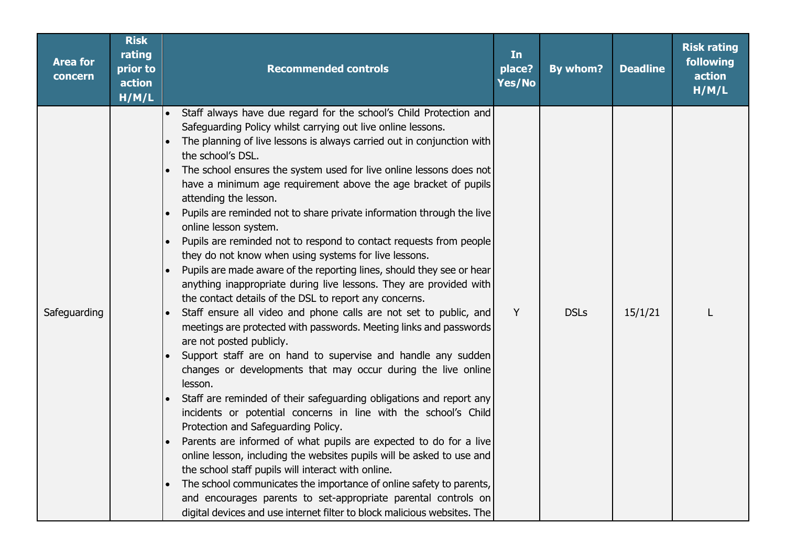| <b>Area for</b><br>concern | <b>Risk</b><br>rating<br>prior to<br>action<br>H/M/L | <b>Recommended controls</b>                                                                                                                                                                                                                                                                                                                                                                                                                                                                                                                                                                                                                                                                                                                                                                                                                                                                                                                                                                                                                                                                                                                                                                                                                                                                                                                                                                                                                                                                                                                                                                                                                                                                                                                                                | In<br>place?<br>Yes/No | By whom?    | <b>Deadline</b> | <b>Risk rating</b><br>following<br>action<br>H/M/L |
|----------------------------|------------------------------------------------------|----------------------------------------------------------------------------------------------------------------------------------------------------------------------------------------------------------------------------------------------------------------------------------------------------------------------------------------------------------------------------------------------------------------------------------------------------------------------------------------------------------------------------------------------------------------------------------------------------------------------------------------------------------------------------------------------------------------------------------------------------------------------------------------------------------------------------------------------------------------------------------------------------------------------------------------------------------------------------------------------------------------------------------------------------------------------------------------------------------------------------------------------------------------------------------------------------------------------------------------------------------------------------------------------------------------------------------------------------------------------------------------------------------------------------------------------------------------------------------------------------------------------------------------------------------------------------------------------------------------------------------------------------------------------------------------------------------------------------------------------------------------------------|------------------------|-------------|-----------------|----------------------------------------------------|
| Safeguarding               |                                                      | Staff always have due regard for the school's Child Protection and<br>Safeguarding Policy whilst carrying out live online lessons.<br>The planning of live lessons is always carried out in conjunction with<br>the school's DSL.<br>The school ensures the system used for live online lessons does not<br>have a minimum age requirement above the age bracket of pupils<br>attending the lesson.<br>Pupils are reminded not to share private information through the live<br>online lesson system.<br>Pupils are reminded not to respond to contact requests from people<br>they do not know when using systems for live lessons.<br>Pupils are made aware of the reporting lines, should they see or hear<br>anything inappropriate during live lessons. They are provided with<br>the contact details of the DSL to report any concerns.<br>Staff ensure all video and phone calls are not set to public, and<br>meetings are protected with passwords. Meeting links and passwords<br>are not posted publicly.<br>Support staff are on hand to supervise and handle any sudden<br>changes or developments that may occur during the live online<br>lesson.<br>Staff are reminded of their safeguarding obligations and report any<br>incidents or potential concerns in line with the school's Child<br>Protection and Safeguarding Policy.<br>Parents are informed of what pupils are expected to do for a live<br>online lesson, including the websites pupils will be asked to use and<br>the school staff pupils will interact with online.<br>The school communicates the importance of online safety to parents,<br>and encourages parents to set-appropriate parental controls on<br>digital devices and use internet filter to block malicious websites. The | Y                      | <b>DSLs</b> | 15/1/21         |                                                    |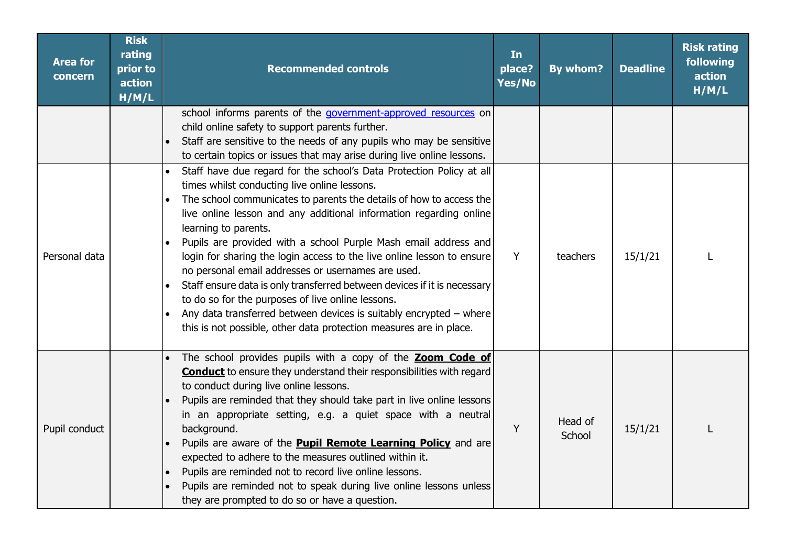| <b>Area for</b><br>concern | <b>Risk</b><br>rating<br>prior to<br>action<br>H/M/L | <b>Recommended controls</b>                                                                                                                                                                                                                                                                                                                                                                                                                                                                                                                                                                                                                                                                                                                                               | In<br>place?<br>Yes/No | By whom?          | <b>Deadline</b> | <b>Risk rating</b><br>following<br>action<br>H/M/L |
|----------------------------|------------------------------------------------------|---------------------------------------------------------------------------------------------------------------------------------------------------------------------------------------------------------------------------------------------------------------------------------------------------------------------------------------------------------------------------------------------------------------------------------------------------------------------------------------------------------------------------------------------------------------------------------------------------------------------------------------------------------------------------------------------------------------------------------------------------------------------------|------------------------|-------------------|-----------------|----------------------------------------------------|
|                            |                                                      | school informs parents of the government-approved resources on<br>child online safety to support parents further.<br>Staff are sensitive to the needs of any pupils who may be sensitive<br>to certain topics or issues that may arise during live online lessons.                                                                                                                                                                                                                                                                                                                                                                                                                                                                                                        |                        |                   |                 |                                                    |
| Personal data              |                                                      | Staff have due regard for the school's Data Protection Policy at all<br>times whilst conducting live online lessons.<br>The school communicates to parents the details of how to access the<br>live online lesson and any additional information regarding online<br>learning to parents.<br>Pupils are provided with a school Purple Mash email address and<br>login for sharing the login access to the live online lesson to ensure<br>no personal email addresses or usernames are used.<br>Staff ensure data is only transferred between devices if it is necessary<br>to do so for the purposes of live online lessons.<br>Any data transferred between devices is suitably encrypted - where<br>this is not possible, other data protection measures are in place. | Y                      | teachers          | 15/1/21         |                                                    |
| Pupil conduct              |                                                      | The school provides pupils with a copy of the <b>Zoom Code of</b><br><b>Conduct</b> to ensure they understand their responsibilities with regard<br>to conduct during live online lessons.<br>Pupils are reminded that they should take part in live online lessons<br>in an appropriate setting, e.g. a quiet space with a neutral<br>background.<br>Pupils are aware of the <b>Pupil Remote Learning Policy</b> and are<br>expected to adhere to the measures outlined within it.<br>Pupils are reminded not to record live online lessons.<br>$\bullet$<br>Pupils are reminded not to speak during live online lessons unless<br>they are prompted to do so or have a question.                                                                                        | Y                      | Head of<br>School | 15/1/21         |                                                    |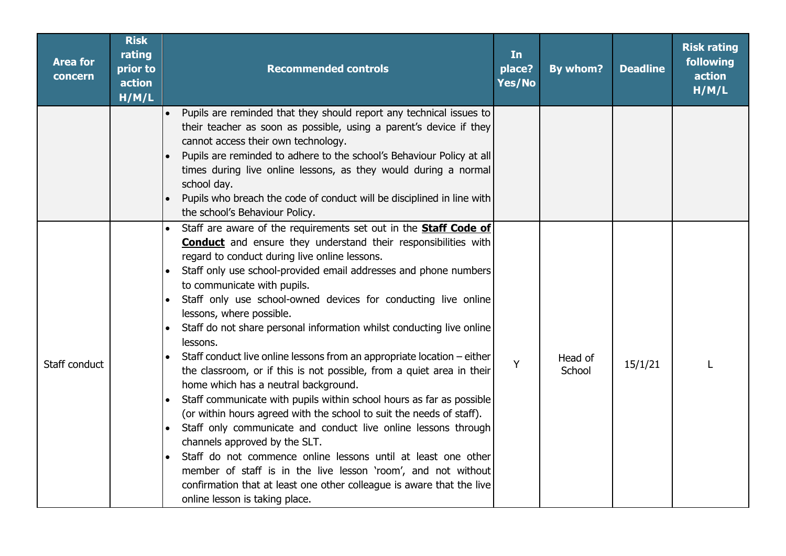| <b>Area for</b><br>concern | <b>Risk</b><br>rating<br>prior to<br>action<br>H/M/L | <b>Recommended controls</b>                                                                                                                                                                                                                                                                                                                                                                                                                                                                                                                                                                                                                                                                                                                                                                                                                                                                                                                                                                                                                                                                                                                                                         | In<br>place?<br>Yes/No | By whom?          | <b>Deadline</b> | <b>Risk rating</b><br>following<br>action<br>H/M/L |
|----------------------------|------------------------------------------------------|-------------------------------------------------------------------------------------------------------------------------------------------------------------------------------------------------------------------------------------------------------------------------------------------------------------------------------------------------------------------------------------------------------------------------------------------------------------------------------------------------------------------------------------------------------------------------------------------------------------------------------------------------------------------------------------------------------------------------------------------------------------------------------------------------------------------------------------------------------------------------------------------------------------------------------------------------------------------------------------------------------------------------------------------------------------------------------------------------------------------------------------------------------------------------------------|------------------------|-------------------|-----------------|----------------------------------------------------|
|                            |                                                      | Pupils are reminded that they should report any technical issues to<br>their teacher as soon as possible, using a parent's device if they<br>cannot access their own technology.<br>Pupils are reminded to adhere to the school's Behaviour Policy at all<br>times during live online lessons, as they would during a normal<br>school day.<br>Pupils who breach the code of conduct will be disciplined in line with<br>the school's Behaviour Policy.                                                                                                                                                                                                                                                                                                                                                                                                                                                                                                                                                                                                                                                                                                                             |                        |                   |                 |                                                    |
| Staff conduct              |                                                      | Staff are aware of the requirements set out in the <b>Staff Code of</b><br><b>Conduct</b> and ensure they understand their responsibilities with<br>regard to conduct during live online lessons.<br>Staff only use school-provided email addresses and phone numbers<br>to communicate with pupils.<br>Staff only use school-owned devices for conducting live online<br>lessons, where possible.<br>Staff do not share personal information whilst conducting live online<br>lessons.<br>Staff conduct live online lessons from an appropriate location - either<br>the classroom, or if this is not possible, from a quiet area in their<br>home which has a neutral background.<br>Staff communicate with pupils within school hours as far as possible<br>(or within hours agreed with the school to suit the needs of staff).<br>Staff only communicate and conduct live online lessons through<br>channels approved by the SLT.<br>Staff do not commence online lessons until at least one other<br>member of staff is in the live lesson 'room', and not without<br>confirmation that at least one other colleague is aware that the live<br>online lesson is taking place. | Y                      | Head of<br>School | 15/1/21         | L                                                  |